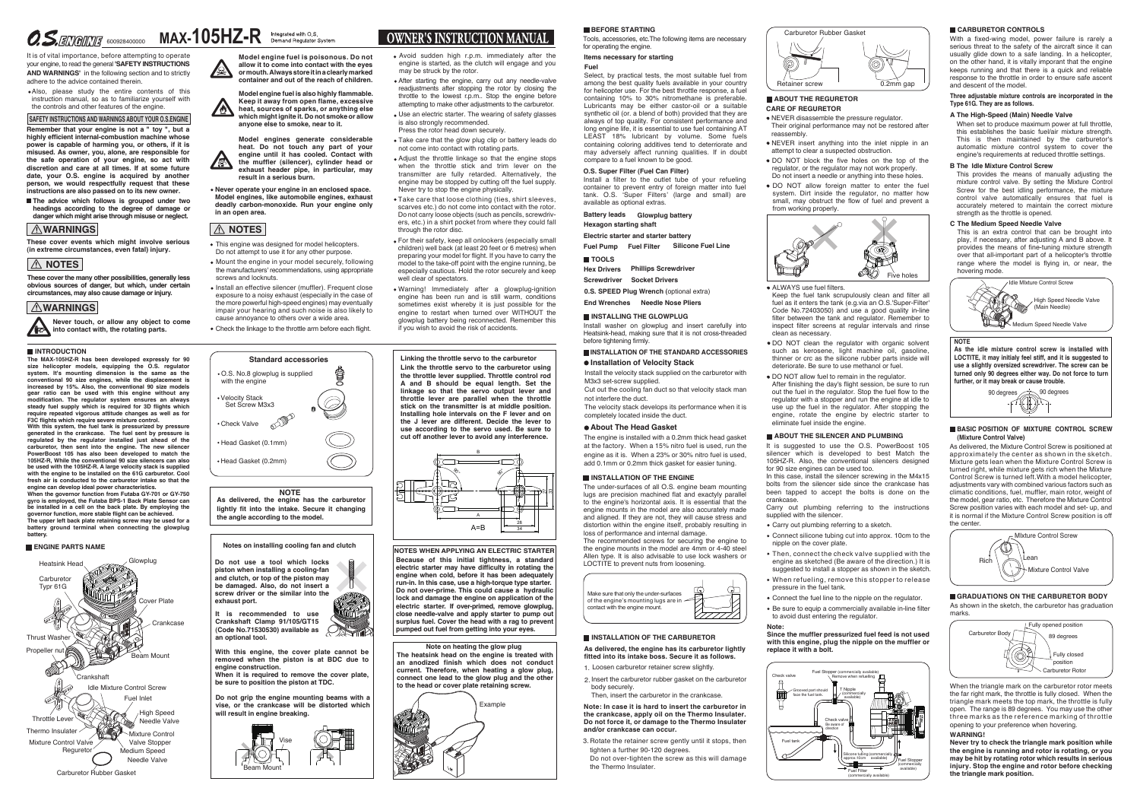It is of vital importance, before attempting to operate your engine, to read the general **'SAFETY INSTRUCTIONS AND WARNINGS'** in the following section and to strictly adhere to the advice contained therein.

**The advice which follows is grouped under two headings according to the degree of damage or danger which might arise through misuse or neglect.**

## **AWARNINGS**

Also, please study the entire contents of this instruction manual, so as to familiarize yourself with the controls and other features of the engine.

**These cover events which might involve serious (in extreme circumstances, even fatal) injury.**

## **A** Notes

**These cover the many other possibilities, generally less obvious sources of danger, but which, under certain circumstances, may also cause damage or injury.**

## **WARNINGS**

**SAFETY INSTRUCTIONS AND WARNINGS ABOUT YOUR O.S.ENGINE Remember that your engine is not a " toy ", but a highly efficient internal-combustion machine whose power is capable of harming you, or others, if it is misused. As owner, you, alone, are responsible for the safe operation of your engine, so act with discretion and care at all times. If at some future date, your O.S. engine is acquired by another person, we would respectfully request that these instructions are also passed on to its new owner.**

#### **ENGINE PARTS NAME**

**Never operate your engine in an enclosed space. Model engines, like automobile engines, exhaust deadly carbon-monoxide. Run your engine only in an open area.**

## **NOTES**

**Never touch, or allow any object to come Ada into contact with, the rotating parts.**

#### **INTRODUCTION**

**heat, sources of sparks, or anything else which might ignite it. Do not smoke or allow anyone else to smoke, near to it.**

**Model engine fuel is also highly flammable. Keep it away from open flame, excessive container and out of the reach of children.**

**Model engines generate considerable heat. Do not touch any part of your engine until it has cooled. Contact with the muffler (silencer), cylinder head or exhaust header pipe, in particular, may result in a serious burn.**

**Model engine fuel is poisonous. Do not allow it to come into contact with the eyes or mouth. Always store it in a clearly marked** 

- This engine was designed for model helicopters. Do not attempt to use it for any other purpose.
- Mount the engine in your model securely, following the manufacturers' recommendations, using appropriate screws and locknuts.
- Install an effective silencer (muffler). Frequent close exposure to a noisy exhaust (especially in the case of the more powerful high-speed engines) may eventually impair your hearing and such noise is also likely to cause annoyance to others over a wide area.
- Check the linkage to the throttle arm before each flight.

After starting the engine, carry out any needle-valve readjustments after stopping the rotor by closing the throttle to the lowest r.p.m.. Stop the engine before attempting to make other adjustments to the carburetor.

Use an electric starter. The wearing of safety glasses is also strongly recommended. Press the rotor head down securely.

> **INSTALLING THE GLOWPLUG** Install washer on glowplug and insert carefully into Heatsink-head, making sure that it is not cross-threaded before tightening firmly

- Take care that the glow plug clip or battery leads do not come into contact with rotating parts.
- Adiust the throttle linkage so that the engine stops when the throttle stick and trim lever on the transmitter are fully retarded. Alternatively, the engine may be stopped by cutting off the fuel supply Never try to stop the engine physically.
- Take care that loose clothing (ties, shirt sleeves, scarves etc.) do not come into contact with the rotor. Do not carry loose objects (such as pencils, screwdrivers, etc.) in a shirt pocket from where they could fall through the rotor disc.

For their safety, keep all onlookers (especially small children) well back (at least 20 feet or 6 metres) when preparing your model for flight. If you have to carry the model to the take-off point with the engine running, be especially cautious. Hold the rotor securely and keep well clear of spectators.

Warning! lmmediately after a glowplug-ignition engine has been run and is still warm, conditions sometimes exist whereby it is just possible for the engine to restart when turned over WITHOUT the glowplug battery being reconnected. Remember this if you wish to avoid the risk of accidents.

**Notes on installing cooling fan and clutch**

**Do not use a tool which locks piston when installing a cooling-fan and clutch, or top of the piston may be damaged. Also, do not insert a screw driver or the similar into the** 

**exhaust port.**

**Do not grip the engine mounting beams with a vise, or the crankcase will be distorted which** 

**will result in engine breaking.** 

Vise

With this engine, the cover plate cannot be **removed when the piston is at BDC due to**  **NOTES WHEN APPLYING AN ELECTRIC STARTER Because of this initial tightness, a standard electric starter may have difficulty in rotating the engine when cold, before it has been adequately run-in. In this case, use a high-torque type starter. Do not over-prime. This could cause a hydraulic lock and damage the engine on application of the electric starter. If over-primed, remove glowplug, close needle-valve and apply starter to pump out**  surplus fuel. Cover the head with a rag to preven **pumped out fuel from getting into your eyes.**



**Items necessary for starting**

Tools, accessories, etc.The following items are necessary for operating the engine.

**Battery leads Glowplug battery**

**Hexagon starting shaft**

- 3. Rotate the retainer screw gently until it stops, then tighten a further 90-120 degrees.
- Do not over-tighten the screw as this will damage the Thermo Insulater.

**Electric starter and starter battery Fuel Pump Fuel Filter Silicone Fuel Line**

#### **Fuel**

#### **TOOLS**

**Screwdriver Socket Drivers**

**Phillips Screwdriver Hex Drivers**

## **End Wrenches Needle Nose Pliers**

**0.S. SPEED Plug Wrench (**optional extra)



### **CARBURETOR CONTROLS**

Beam Mount

**It is recommended to use Crankshaft Clamp 91/105/GT15 (Code No.71530530) available as** 

**an optional tool.** 

O.S. No.8 glowplug is supplied

Set Screw M3x3<br>Check Valve

with the engine

Install a filter to the outlet tube of your refueling container to prevent entry of foreign matter into fuel tank. O.S. 'Super Filters' (large and small) are available as optional extras.

#### **O.S. Super Filter (Fuel Can Filter)**

The under-surfaces of all O.S. engine beam mounting lugs are precision machined flat and exactyly parallel to the engine's horizontal axis. It is essential that the engine mounts in the model are also accurately made and aligned. If they are not, they will cause stress and distortion within the engine itself, probably resulting in loss of performance and internal damage.

The recommended screws for securing the engine to the engine mounts in the model are 4mm or 4-40 steel Allen type. It is also advisable to use lock washers or LOCTITE to prevent nuts from loosening.



## **BEFORE STARTING**

#### **Note on heating the glow plug The heatsink head on the engine is treated with an anodized finish which does not conduct current. Therefore, when heating a glow plug, connect one lead to the glow plug and the other to the head or cover plate retaining screw.**

This provides the means of manually adjusting the mixture control valve. By setting the Mixture Control Screw for the best idling performance, the mixture control valve automatically ensures that fuel is accurately metered to maintain the correct mixture strength as the throttle is opened.

**The MAX-105HZ-R has been developed expressly for 90**  size helicopter models, equipping the O.S. regulator **system. It's mounting dimension is the same as the conventional 90 size engines, while the displacement is increased by 15%. Also, the conventional 90 size models gear ratio can be used with this engine without any modification. The regulator system ensures an always steady fuel supply which is required for 3D flights which require repeated vigorous attitude changes as well as for F3C flights which require severe mixture control.** 

**With this system, the fuel tank is pressurized by pressure generated in the crankcase. The fuel sent by pressure is regulated by the regulator installed just ahead of the carburetor, then sent into the engine. The new silencer PowerBoost 105 has also been developed to match the 105HZ-R, While the conventional 90 size silencers can also be used with the 105HZ-R. A large velocity stack is supplied with the engine to be installed on the 61G carburetor. Cool fresh air is conducted to the carburetor intake so that the engine can develop ideal power characteristics.**

## **INSTALLATION OF THE STANDARD ACCESSORIES Installation of Velocity Stack**

**When the governor function from Futaba GY-701 or GY-750 gyro is employed, the Futaba BPS-1 Back Plate Sensor can be installed in a cell on the back plate. By employing the governor function, more stable flight can be achieved.**

**The upper left back plate retaining screw may be used for a battery ground terminal when connecting the glowplug battery.**

#### **INSTALLATION OF THE CARBURETOR As delivered, the engine has its carburetor lightly fitted into its intake boss. Secure it as follows.**

**engine construction.**

**OWNER'S INSTRUCTION MANUAL** 

**When it is required to remove the cover plate, be sure to position the piston at TDC.**

**Standard accessories**

**Delive** 

Æ

 $\bigcirc$ 

Check Valve

**As delivered, the engine has the carburetor lightly fit into the intake. Secure it changing** 

**the angle according to the model.**

**NOTE**

Head Gasket (0.2mm) Head Gasket (0.1mm)

Velocity Stack

Avoid sudden high r.p.m. immediately after the engine is started, as the clutch will engage and you may be struck by the rotor.



Select, by practical tests, the most suitable fuel from among the best quality fuels available in your country for helicopter use. For the best throttle response, a fuel containing 10% to 30% nitromethane is preferable. Lubricants may be either castor-oil or a suitable synthetic oil (or  $\overline{a}$  blend of both) provided that they are always of top quality. For consistent performance and long engine life, it is essential to use fuel containing AT LEAST 18% lubricant by volume. Some fuels containing coloring additives tend to deterriorate and may adversely affect running qualities. If in doubt compare to a fuel known to be good.

#### **About The Head Gasket**

The engine is installed with a 0.2mm thick head gasket at the factory. When a 15% nitro fuel is used, run the engine as it is. When a 23% or 30% nitro fuel is used, add 0.1mm or 0.2mm thick gasket for easier tuning.

#### **INSTALLATION OF THE ENGINE**

Install the velocity stack supplied on the carburetor with M3x3 set-screw supplied.

Cut out the cooling fan duct so that velocity stack man not interfere the duct.

The velocity stack develops its performance when it is completely located inside the duct.





- 1. Loosen carburetor retainer screw slightly.
- 2. Insert the carburetor rubber gasket on the carburetor body securely.
- Then, insert the carburetor in the crankcase.

**Note: In case it is hard to insert the carburetor in the crankcase, apply oil on the Thermo Insulater. Do not force it, or damage to the Thermo Insulater and/or crankcase can occur.**

- NEVER disassemble the pressure regulator. Their original performance may not be restored after reassembly.
- NEVER insert anything into the inlet nipple in an attempt to clear a suspected obstruction.
- DO NOT block the five holes on the top of the regulator, or the regulator may not work properly.
- DO NOT allow foreign matter to enter the fuel system. Dirt inside the regulator, no matter how small, may obstruct the flow of fuel and prevent a from working properly.



#### **CARE OF REGURETOR ABOUT THE REGURETOR**

# 600928400000 **MAX-105HZ-R**

Do not insert a needle or anything into these holes.



- ALWAYS use fuel filters. Keep the fuel tank scrupulously clean and filter all fuel as it enters the tank (e.g.via an O.S.'Super-Filter' Code No.72403050) and use a good quality in-line filter between the tank and regulator. Remember to inspect filter screens at regular intervals and rinse clean as necessary.
- DO NOT clean the regulator with organic solvent such as kerosene, light machine oil, gasoline, thinner or crc as the silicone rubber parts inside will deteriorate. Be sure to use methanol or fuel.
- DO NOT allow fuel to remain in the regulator. After finishing the day's flight session, be sure to run out the fuel in the regulator. Stop the fuel flow to the regulator with a stopper and run the engine at idle to use up the fuel in the regulator. After stopping the engine, rotate the engine by electric starter to eliminate fuel inside the engine.

#### **ABOUT THE SILENCER AND PLUMBING**

It is suggested to use the O.S. PowerBoost 105 silencer which is developed to best Match the 105HZ-R. Also, the conventional silencers designed for 90 size engines can be used too. In this case, install the silencer screwing in the M4x15 bolts from the silencer side since the crankcase has been tapped to accept the bolts is done on the crankcase.

supplied with the silencer.

Carry out plumbing referring to the instructions

suggested to install a stopper as shown in the sketch.

- Carry out plumbing referring to a sketch. Connect silicone tubing cut into approx. 10cm to the nipple on the cover plate.
- Then, connect the check valve supplied with the engine as sketched (Be aware of the direction.) It is
- When refueling, remove this stopper to release pressure in the fuel tank.
- Connect the fuel line to the nipple on the regulator.
- Be sure to equip a commercially available in-line filter to avoid dust entering the regulator.

## **Note: Since the muffler pressurized fuel feed is not used**

## **with this engine, plug the nipple on the muffler or**

**replace it with a bolt.**

Fuel tank Check valve Check valve T Nipple Remove when refuelling (commercially available) Be aware of direction Grooved part should face the fuel tank. Silicone tubing approx.10cm



With a fixed-wing model, power failure is rarely a serious threat to the safety of the aircraft since it can usually glide down to a safe landing. In a helicopter on the other hand, it is vitally imporant that the engine keeps running and that there is a quick and reliable response to the throttle in order to ensure safe ascent and descent of the model.

When set to produce maximum power at full throttle, this establishes the basic fuel/air mixture strength. This is then maintained by the carburetor's automatic mixture control system to cover the engine's requirements at reduced throttle settings.

#### **The High-Speed (Main) Needle Valve A**

#### **The Idle Mixture Control Screw B**

**Three adjustable mixture controls are incorporated in the Type 61G. They are as follows.**

#### **The Medium Speed Needle Valve C**

This is an extra control that can be brought into play, if necessary, after adjusting A and B above. It provides the means of fine-tuning mixture strength over that all-important part of a helicopter's throttle range where the model is flying in, or near, the hovering mode.



#### **NOTE**



**As the idle mixture control screw is installed with LOCTITE, it may initialy feel stiff, and it is suggested to use a slightly oversized screwdriver. The screw can be turned only 90 degrees either way. Do not force to turn further, or it may break or cause trouble.**

#### **BASIC POSITION OF MIXTURE CONTROL SCREW (Mixture Control Valve)**



As delivered, the Mixture Control Screw is positioned at approximately the center as shown in the sketch. Mixture gets lean when the Mixture Control Screw is turned right, while mixture gets rich when the Mixture Control Screw is turned left. With a model helicopter adjustments vary with combined various factors such as climatic conditions, fuel, muffler, main rotor, weight of the model, gear ratio, etc. Therefore the Mixture Control Screw position varies with each model and set- up, and it is normal if the Mixture Control Screw position is off the center.

When the triangle mark on the carburetor rotor meets the far right mark, the throttle is fully closed. When the triangle mark meets the top mark, the throttle is fully open. The range is 89 degrees. You may use the other three marks as the reference marking of throttle opening to your preference when hovering.

#### **WARNING!**

**Never try to check the triangle mark position while the engine is running and rotor is rotating, or you may be hit by rotating rotor which results in serious injury. Stop the engine and rotor before checking the triangle mark position.**



#### As shown in the sketch, the carburetor has graduation marks. **GRADUATIONS ON THE CARBURETOR BODY**